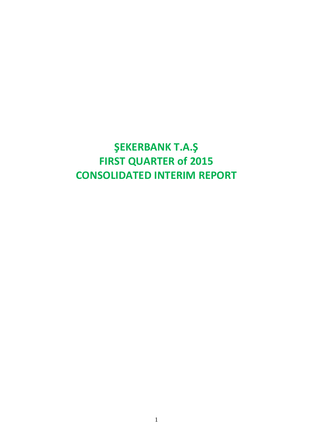## **ŞEKERBANK T.A.Ş FIRST QUARTER of 2015 CONSOLIDATED INTERIM REPORT**